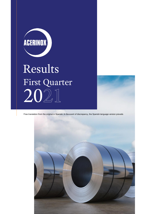

# Results First Quarter 2021

Free translation from the original in Spanish. In the event of discrepancy, the Spanish-language version prevails

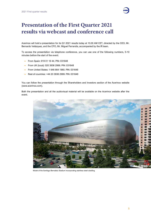

# **Presentation of the First Quarter 2021 results via webcast and conference call**

Acerinox will hold a presentation for its Q1 2021 results today at 10.00 AM CET, directed by the CEO, Mr. Bernardo Velázquez, and the CFO, Mr. Miguel Ferrandis, accompanied by the IR team.

To access the presentation via telephone conference, you can use one of the following numbers, 5-10 minutes before the start of the event:

- **From Spain: 919 01 16 44. PIN: 031648**
- From UK (local): 020 3936 2999. PIN: 031648
- From United States: 1 646 664 1960. PIN: 031648
- Rest of countries: +44 20 3936 2999. PIN: 031648

You can follow the presentation through the Shareholders and Investors section of the Acerinox website (www.acerinox.com).

Both the presentation and all the audiovisual material will be available on the Acerinox website after the event.



Model of the Santiago Bernabéu Stadium incorporating stainless steel cladding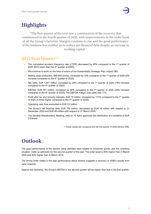

# **Highlights**

"The first quarter of the year saw a continuation of the recovery that commenced in the fourth quarter of 2020, with improvements in the order book of all the Group's factories. Margins continue to rise and the good performance of the business has enabled us to reduce net financial debt despite an increase in working capital."

#### 2021 First Quarter<sup>(1)</sup>

- The cumulative accident frequency rate (LTIFR) decreased by 45% compared to the 1<sup>st</sup> quarter of 2020 (62% lower than the  $4<sup>th</sup>$  quarter of 2020).
- We continue to work on the lines of action of the Sustainability Strategic Plan, Impact 360.
- Melting shop production, 668,454 tonnes, increased by 12% compared to the 1<sup>st</sup> quarter of 2020 (9% increase compared to the 4<sup>th</sup> quarter of 2020).
- Net sales, EUR 1,441 million, increased by 24% compared to the 1<sup>st</sup> quarter of 2020 (18% increase compared to the  $4<sup>th</sup>$  quarter of 2020).
- EBITDA, EUR 161 million, increased by 90% compared to the  $1<sup>st</sup>$  quarter of 2020 (23% increase compared to the 4<sup>th</sup> quarter of 2020). The EBITDA margin over sales was 11%.
- Profit after tax and minority interests, EUR 78 million, increased by 177% compared to the 1<sup>st</sup> quarter of 2020 (4 times higher compared to the 4<sup>th</sup> quarter of 2020).
- Operating cash flow amounted to EUR 23 million.
- The Group's net financial debt, EUR 756 million, decreased by EUR 16 million with respect to 31 December 2020 and EUR 98 million with respect to 31 March 2020.
- The General Shareholders' Meeting, held on 15 April, approved the distribution of a dividend of EUR 0.5/share.

(1) These results are compared with the first quarter of 2020 without VDM.

# **Outlook**

The good performance of the sectors using stainless steel related to consumer goods, and the inventory situation, make us optimistic for the second quarter of the year. The order book is 80% higher than in March 2020 and 40% higher than in March 2019.

The strong order intake in the high performance alloys division suggests a recovery in VDM's results from June onwards.

Against this backdrop, the Group's EBITDA in the second quarter will be higher than that in the first quarter.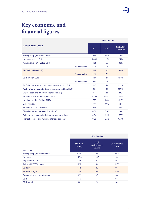# **Key economic and financial figures**

|                                                                | <b>First quarter</b> |       |                        |        |  |
|----------------------------------------------------------------|----------------------|-------|------------------------|--------|--|
| <b>Consolidated Group</b>                                      | 2021                 | 2020  | 2021/2020<br>Variation |        |  |
| Melting shop (thousand tonnes)                                 |                      | 668   | 599                    | 12%    |  |
| Net sales (million EUR)                                        |                      | 1,441 | 1,159                  | 24%    |  |
| Adjusted EBITDA (million EUR)                                  |                      | 161   | 85                     | 90%    |  |
|                                                                | % over sales         | 11%   | 7%                     |        |  |
| <b>EBITDA (million EUR)</b>                                    |                      | 161   | 85                     | 90%    |  |
|                                                                | % over sales         | 11%   | 7%                     |        |  |
| <b>EBIT (million EUR)</b>                                      |                      | 117   | 44                     | 164%   |  |
|                                                                | % over sales         | 8%    | 4%                     |        |  |
| Profit before taxes and minority interests (million EUR)       |                      | 106   | 41                     | 155%   |  |
| <b>Profit after taxes and minority interests (million EUR)</b> |                      | 78    | 28                     | 177%   |  |
| Depreciation and amortisation (million EUR)                    |                      | 44    | 41                     | 8%     |  |
| Number of employees at period-end                              |                      | 8,153 | 6,507                  | 25%    |  |
| Net financial debt (million EUR)                               |                      | 756   | 854                    | $-11%$ |  |
| Debt ratio (%)                                                 |                      | 43%   | 44%                    | $-2%$  |  |
| Number of shares (million)                                     |                      | 271   | 271                    | 0%     |  |
| Shareholder remuneration (per share)                           |                      | 0.00  | 0.00                   | ---    |  |
| Daily average shares traded (no. of shares, million)           |                      | 0.84  | 1.11                   | $-25%$ |  |
| Profit after taxes and minority interests per share            |                      | 0.29  | 0.10                   | 177%   |  |

|                                | <b>First quarter</b>      |                               |                       |  |  |  |  |
|--------------------------------|---------------------------|-------------------------------|-----------------------|--|--|--|--|
| <b>Million EUR</b>             | <b>Stainless</b><br>Group | High<br>performance<br>alloys | Consolidated<br>Group |  |  |  |  |
| Melting shop (thousand tonnes) | 650                       | 18                            | 668                   |  |  |  |  |
| Net sales                      | 1,273                     | 167                           | 1,441                 |  |  |  |  |
| <b>Adjusted EBITDA</b>         | 152                       | 10                            | 161                   |  |  |  |  |
| Adjusted EBITDA margin         | 12%                       | 6%                            | 11%                   |  |  |  |  |
| <b>EBITDA</b>                  | 152                       | 10                            | 161                   |  |  |  |  |
| <b>EBITDA</b> margin           | 12%                       | 6%                            | 11%                   |  |  |  |  |
| Depreciation and amortisation  | $-37$                     | $-5$                          | $-44$                 |  |  |  |  |
| <b>EBIT</b>                    | 115                       | 4                             | 117                   |  |  |  |  |
| <b>EBIT</b> margin             | 9%                        | 2%                            | 8%                    |  |  |  |  |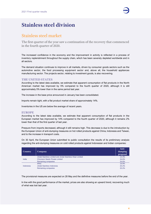

## **Stainless steel division**

#### Stainless steel market

The first quarter of the year saw a continuation of the recovery that commenced in the fourth quarter of 2020.

The increased confidence in the economy and the improvement in activity is reflected in a process of inventory replenishment throughout the supply chain, which has been severely depleted worldwide and in all sectors.

The demand situation continues to improve in all markets, driven by consumer goods sectors such as the automotive sector, the food processing equipment sector and, above all, the household appliances manufacturing sector. The projects sector, relating to investment goods, is also recovering.

#### **THE UNITED STATES**

According to the latest data available, we estimate that apparent consumption of flat products in the North American market has improved by 5% compared to the fourth quarter of 2020, although it is still approximately 5% lower than in the same period last year.

The increase in the base price announced in January has been consolidated.

Imports remain tight, with a flat product market share of approximately 14%.

Inventories in the US are below the average of recent years.

#### **EUROPE**

According to the latest data available, we estimate that apparent consumption of flat products in the European market has improved by 14% compared to the fourth quarter of 2020, although it remains 2% lower than that of the first quarter of last year.

Pressure from imports decreased, although it still remains high. This decrease is due to the introduction by the European Union of anti-dumping measures on hot rolled products against China, Indonesia and Taiwan, and to the increase in transport costs.

On 30 April, the European Union submitted to public consultation the results of its preliminary analysis regarding the anti-dumping measures on cold rolled products against Indonesian and Indian companies:

| Country   | <b>Company</b>                                              | Anti-<br>dumping<br>proposal |
|-----------|-------------------------------------------------------------|------------------------------|
| India     | Jindal Stainless Limited and Jindal Stainless Hisar Limited | 13.4%                        |
|           | Chromeni Steels Private Limited                             | 34.6%                        |
|           | Remaining companies                                         | 34.6%                        |
| Indonesia | <b>IRNC</b>                                                 | 19.9%                        |
|           | Jindal Stainless Indonesia                                  | 20.2%                        |
|           | Remaining companies                                         | 20.2%                        |

The provisional measures are expected on 28 May and the definitive measures before the end of the year.

In line with the good performance of the market, prices are also showing an upward trend, recovering much of what was lost last year.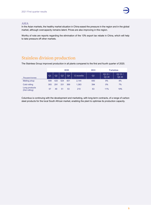

#### **ASIA**

In the Asian markets, the healthy market situation in China eased the pressure in the region and in the global market, although overcapacity remains latent. Prices are also improving in this region.

Worthy of note are reports regarding the elimination of the 13% export tax rebate in China, which will help to take pressure off other markets.

## Stainless division production

The Stainless Group improved production in all plants compared to the first and fourth quarter of 2020.

|                                | 2020            |                |                |     |           | 2021 | <b>Variation</b> |                |
|--------------------------------|-----------------|----------------|----------------|-----|-----------|------|------------------|----------------|
| <b>Thousand tonnes</b>         | $\overline{Q}1$ | O <sub>2</sub> | O <sub>3</sub> | O4  | 12 months | Q1   | Q121/<br>Q1 20   | Q121/<br>Q4 20 |
| Melting shop                   | 599             | 420            | 524            | 601 | 2.144     | 650  | 9%               | 8%             |
| Cold rolling                   | 393             | 291            | 331            | 369 | 1.383     | 394  | $0\%$            | 7%             |
| Long products<br>(Hot rolling) | 57              | 49             | 51             | 53  | 210       | 63   | 11%              | 19%            |

Columbus is continuing with the development and marketing, with long-term contracts, of a range of carbon steel products for the local South African market, enabling the plant to optimise its production capacity.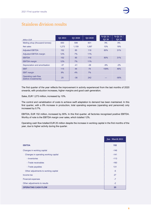### Stainless division results

| <b>Million EUR</b>                          | Q1 2021 | Q1 2020 | Q4 2020 | % Q1 21 /<br>Q1 20 | % Q1 21 /<br>Q4 20 |
|---------------------------------------------|---------|---------|---------|--------------------|--------------------|
| Melting shop (thousand tonnes)              | 650     | 599     | 601     | 9%                 | 8%                 |
| Net sales                                   | 1,273   | 1,159   | 1,067   | 10%                | 19%                |
| <b>Adjusted EBITDA</b>                      | 152     | 85      | 116     | 80%                | 31%                |
| <b>Adjusted EBITDA margin</b>               | 12%     | 7%      | 11%     |                    |                    |
| <b>EBITDA</b>                               | 152     | 85      | 116     | 80%                | 31%                |
| <b>EBITDA</b> margin                        | 12%     | 7%      | 11%     |                    |                    |
| Depreciation and amortisation               | $-37$   | $-41$   | $-38$   | $-9%$              | $-2%$              |
| <b>EBIT</b>                                 | 115     | 44      | 79      | 159%               | 46%                |
| <b>EBIT</b> margin                          | 9%      | 4%      | 7%      |                    |                    |
| Operating cash flow<br>(before investments) | 25      | $-36$   | 242     | ---                | $-90%$             |

The first quarter of the year reflects the improvement in activity experienced from the last months of 2020 onwards, with production increases, higher margins and good cash generation.

Sales, EUR 1,273 million, increased by 10%.

The control and variablisation of costs to achieve swift adaptation to demand has been maintained. In this first quarter, with a 9% increase in production, total operating expenses (operating and personnel) only increased by 0.7%.

EBITDA, EUR 152 million, increased by 80%. In this first quarter, all factories recognised positive EBITDA. Worthy of note is the EBITDA margin over sales, which totalled 12%.

Operating cash flow totalled EUR 25 million despite the increase in working capital in the first months of the year, due to higher activity during the quarter.

|                                      | Jan - March 2021 |
|--------------------------------------|------------------|
| <b>EBITDA</b>                        | 152              |
| Changes in working capital           | $-146$           |
| Changes in operating working capital | $-141$           |
| - Inventories                        | $-113$           |
| - Trade receivables                  | $-160$           |
| - Trade payables                     | 131              |
| Other adjustments to working capital | $-5$             |
| Income tax                           | 27               |
| <b>Financial expenses</b>            | $-7$             |
| Other adjustments to results         | $-2$             |
| <b>OPERATING CASH FLOW</b>           | 25               |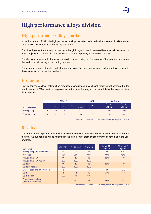

# **High performance alloys division**

#### High performance alloys market

In the first quarter of 2021, the high performance alloys market experienced an improvement in all consumer sectors, with the exception of the aerospace sector.

The oil and gas sector is slowly recovering, although it is yet to reach pre-covid levels. Activity resumed on major projects and the situation is expected to continue improving in the second quarter.

The chemical process industry showed a positive trend during the first months of the year and we expect demand to remain strong in the coming quarters.

The electronics and automotive industries are showing the best performance and are at levels similar to those experienced before the pandemic.

#### Production

High performance alloys melting shop production experienced a significant improvement compared to the fourth quarter of 2020, due to an improvement in the order backlog and increased deliveries expected from June onwards.

|                        | $2020^{(1)}$ |    |                 |    |              | 2021 |                 | <b>Variation</b> |  |
|------------------------|--------------|----|-----------------|----|--------------|------|-----------------|------------------|--|
| <b>Thousand tonnes</b> | Q1           | O2 | Q <sub>3</sub>  | Q4 | 12<br>months | Ql   | Q1 21/<br>Q1 20 | Q1 21 /<br>Q4 20 |  |
| Melting shop           | 19           | 18 | 14              | 13 | 64           | 18   | $-5%$           | 43%              |  |
| Finishing shop         | 10           |    | 10 <sup>°</sup> | 8  | 38           | 8    | $-15%$          | 4%               |  |

(1) January and February 2020 pro forma, before the acquisition of VDM

## Results

The improvement experienced in the various sectors resulted in a 43% increase in production compared to the previous quarter, and will be reflected in the statement of profit or loss from the second half of the year onwards.

| <b>Million EUR</b>                          | Q1 2021 | $\overline{Q12020}$ <sup>(1)</sup> | Q4 2020 | % Q121/<br>Q1 20 | % Q1 21 /<br>Q4 20 |
|---------------------------------------------|---------|------------------------------------|---------|------------------|--------------------|
| Melting shop (thousand tonnes)              | 18      | 19                                 | 13      | $-5%$            | 43%                |
| Net sales                                   | 167     | 205                                | 150     | $-18%$           | 12%                |
| <b>Adjusted EBITDA</b>                      | 10      | 20                                 | 15      | $-52%$           | $-38%$             |
| <b>Adjusted EBITDA margin</b>               | 6%      | 10%                                | 10%     |                  |                    |
| <b>EBITDA</b>                               | 10      | 20                                 | 15      | $-52%$           | $-38%$             |
| <b>EBITDA</b> margin                        | 6%      | 10%                                | 10%     |                  |                    |
| Depreciation and amortisation               | $-5$    | $-6$                               | $-6$    | $-1%$            | $-2%$              |
| <b>EBIT</b>                                 | 4       | 14                                 | 10      | $-71%$           | $-57%$             |
| <b>EBIT</b> margin                          | 2%      | 7%                                 | 6%      |                  |                    |
| Operating cash flow<br>(before investments) | $-1$    | $-30$                              | 12      | 97%              | ---                |

(1) January and February 2020 pro forma, before the acquisition of VDM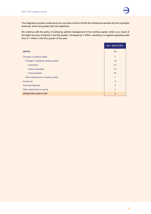

The integration process continues to be a success in terms of both the milestones reached and the synergies achieved, which are greater than the objectives.

We continue with the policy of achieving optimal management of the working capital, which, as a result of the slight recovery of activity in the first quarter, increased by 7 million, resulting in a negative operating cash flow of 1 million in the first quarter of the year.

|                                      | Jan - March 2021 |
|--------------------------------------|------------------|
| <b>EBITDA</b>                        | 10               |
| Changes in working capital           | $-7$             |
| Changes in operating working capital | $-14$            |
| - Inventories                        | $-41$            |
| - Trade receivables                  | $-13$            |
| - Trade payables                     | 40               |
| Other adjustments to working capital | $\overline{7}$   |
| Income tax                           | $-3$             |
| <b>Financial expenses</b>            | $-2$             |
| Other adjustments to results         | $\overline{2}$   |
| <b>OPERATING CASH FLOW</b>           | $-1$             |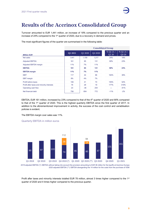

# **Results of the Acerinox Consolidated Group**

Turnover amounted to EUR 1,441 million, an increase of 18% compared to the previous quarter and an increase of 24% compared to the 1<sup>st</sup> quarter of 2020, due to a recovery in demand and prices.

The most significant figures of the quarter are summarised in the following table:

|                                           | <b>Consolidated Group</b> |         |         |                   |                   |  |  |  |  |
|-------------------------------------------|---------------------------|---------|---------|-------------------|-------------------|--|--|--|--|
| <b>Million EUR</b>                        | Q1 2021                   | Q1 2020 | Q4 2020 | % Q121 /<br>Q1 20 | % Q121 /<br>Q4 20 |  |  |  |  |
| Net sales                                 | 1,441                     | 1,159   | 1,217   | 24%               | 18%               |  |  |  |  |
| <b>Adjusted EBITDA</b>                    | 161                       | 85      | 131     | 90%               | 23%               |  |  |  |  |
| Adjusted EBITDA margin                    | 11%                       | 7%      | 11%     |                   |                   |  |  |  |  |
| <b>EBITDA</b>                             | 161                       | 85      | 131     | 90%               | 23%               |  |  |  |  |
| <b>EBITDA</b> margin                      | 11%                       | 7%      | 11%     |                   |                   |  |  |  |  |
| <b>EBIT</b>                               | 117                       | 44      | 86      | 164%              | 36%               |  |  |  |  |
| <b>EBIT</b> margin                        | 8%                        | 4%      | 7%      |                   |                   |  |  |  |  |
| Profit before taxes                       | 106                       | 41      | 70      | 155%              | 52%               |  |  |  |  |
| Profit after taxes and minority interests | 78                        | 28      | 19      | 177%              | 319%              |  |  |  |  |
| Operating cash flow                       | 23                        | $-36$   | 254     | $---$             | $-91%$            |  |  |  |  |
| Net financial debt                        | 756                       | 854     | 772     | $-11%$            | $-2%$             |  |  |  |  |

EBITDA, EUR 161 million, increased by 23% compared to that of the 4th quarter of 2020 and 90% compared to that of the 1<sup>st</sup> quarter of 2020. This is the highest quarterly EBITDA since the first quarter of 2017. In addition to the aforementioned improvement in activity, the success of the cost control and variablisation policies is evident.

The EBITDA margin over sales was 11%.





2019 adjusted EBITDA (\*): EBITDA without taking into account the provision amounting to EUR 38 million for the layoffs at Acerinox Europa 2020 adjusted EBITDA (\*\*): EBITDA disregarding the 14 million for the costs from the purchase of VDM

Profit after taxes and minority interests totalled EUR 78 million, almost 3 times higher compared to the 1<sup>st</sup> quarter of 2020 and 4 times higher compared to the previous quarter.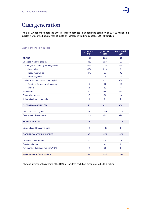

# **Cash generation**

The EBITDA generated, totalling EUR 161 million, resulted in an operating cash flow of EUR 23 million, in a quarter in which the buoyant market led to an increase in working capital of EUR 153 million.

#### Cash Flow (Million euros)

|                                      | Jan - Mar<br>2021 | Jan - Dec<br>2020 | Jan - March<br>2020 |
|--------------------------------------|-------------------|-------------------|---------------------|
| <b>EBITDA</b>                        | 161               | 384               | 85                  |
| Changes in working capital           | $-153$            | 223               | $-97$               |
| Changes in operating working capital | $-155$            | 236               | $-65$               |
| - Inventories                        | $-154$            | 223               | 9                   |
| - Trade receivables                  | $-173$            | 83                | $-47$               |
| - Trade payables                     | 171               | $-70$             | $-27$               |
| Other adjustments to working capital | $\overline{2}$    | $-13$             | $-32$               |
| - Acerinox Europa lay-off payment    | $\overline{0}$    | $-26$             | $-26$               |
| - Others                             | $\overline{2}$    | 13                | $-6$                |
| Income tax                           | 24                | $-99$             | $-23$               |
| <b>Financial expenses</b>            | $-9$              | $-36$             | $-3$                |
| Other adjustments to results         | $\mathbf{0}$      | $-51$             | 3                   |
| <b>OPERATING CASH FLOW</b>           | 23                | 421               | $-36$               |
| VDM purchase payment                 | $\mathbf 0$       | $-313$            | $-313$              |
| Payments for investments             | $-29$             | $-99$             | $-24$               |
| <b>FREE CASH FLOW</b>                | -6                | $\boldsymbol{8}$  | $-373$              |
| Dividends and treasury shares        | $\overline{0}$    | $-135$            | $\mathbf{0}$        |
| <b>CASH FLOW AFTER DIVIDENDS</b>     | -6                | $-127$            | $-373$              |
| <b>Conversion differences</b>        | 22                | $-70$             | 13                  |
| Grants and other                     |                   | 4                 | $\Omega$            |
| Net financial debt acquired from VDM | $\overline{0}$    | $-85$             | $\mathbf{0}$        |
|                                      |                   |                   |                     |
| Variation in net financial debt      | 16                | $-278$            | $-360$              |

Following investment payments of EUR 29 million, free cash flow amounted to EUR -6 million.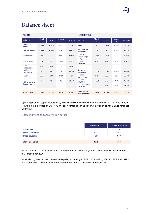# **Balance sheet**

| <b>ASSETS</b>                |             |       |             |           | <b>LIABILITIES</b>                     |             |       |             |           |
|------------------------------|-------------|-------|-------------|-----------|----------------------------------------|-------------|-------|-------------|-----------|
| Million $\epsilon$           | March<br>21 | 2020  | March<br>20 | Variation | Million $\epsilon$                     | March<br>21 | 2020  | March<br>20 | Variation |
| <b>Non-current</b><br>assets | 2,105       | 2,070 | 2,229       | 1.7%      | <b>Equity</b>                          | 1,760       | 1,615 | 1,953       | 9.0%      |
| <b>Current assets</b>        | 3,038       | 2,664 | 2,745       | 14.0%     | Non-current<br><b>liabilities</b>      | 1,815       | 1,827 | 1,538       | $-0.7%$   |
| - Inventories                | 1,337       | 1,182 | 1,007       | 13.0%     | - Bank<br>borrowings                   | 1,399       | 1,410 | 1,358       | $-0.8%$   |
| - Receivables                | 687         | 532   | 598         | 29.3%     | - Other non-<br>current<br>liabilities | 416         | 417   | 179         | $-0.4%$   |
| Trade<br>receivables         | 636         | 464   | 531         | 37.2%     |                                        |             |       |             |           |
| Other<br>receivables         | 51          | 68    | 67          | $-24.9%$  | <b>Current</b><br><b>liabilities</b>   | 1,567       | 1,291 | 1,483       | 21.4%     |
| - Cash                       | 988         | 917   | 1,125       | 7.8%      | - Bank<br>borrowings                   | 345         | 280   | 621         | 23.5%     |
| - Other current              | 25          | 32    | 15          | $-21.4%$  | - Trade<br>payables                    | 1,051       | 879   | 757         | 19.5%     |
| financial assets             |             |       |             |           | - Other current<br>liabilities         | 171         | 132   | 105         | 29.5%     |
| <b>Total assets</b>          |             |       |             |           | <b>Total equity</b>                    |             |       |             |           |
|                              | 5,142       | 4,733 | 4,974       | 8.6%      | and liabilities                        | 5,142       | 4,733 | 4,974       | 8.6%      |

Operating working capital increased by EUR 155 million as a result of improved activity. The good turnover resulted in an increase of EUR 173 million in "trade receivables". Inventories in physical units remained controlled.

#### Operating working capital (Million euros)

|                        | <b>March 2021</b> | December 2020 |
|------------------------|-------------------|---------------|
| <b>Inventories</b>     | 1,337             | 1,182         |
| Trade receivables      | 636               | 464           |
| Trade payables         | 1.051             | 879           |
|                        |                   |               |
| <b>Working capital</b> | 922               | 767           |

At 31 March 2021, net financial debt amounted to EUR 756 million, a decrease of EUR 16 million compared to 31 December 2020.

At 31 March, Acerinox had immediate liquidity amounting to EUR 1,778 million, of which EUR 988 million corresponded to cash and EUR 790 million corresponded to available credit facilities.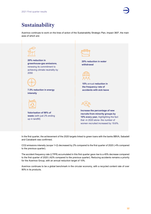

# **Sustainability**

Acerinox continues to work on the lines of action of the Sustainability Strategic Plan, Impact 360º, the main axes of which are:



In the first quarter, the achievement of the 2020 targets linked to green loans with the banks BBVA, Sabadell and Caixabank was confirmed.

CO2 emissions intensity (scope 1+2) decreased by 2% compared to the first quarter of 2020 (-4% compared to the previous quarter).

The accident frequency rate (LTIFR) accumulated in this first quarter gave rise to a 45% decrease compared to the first quarter of 2020 (-62% compared to the previous quarter). Reducing accidents remains a priority for the Acerinox Group, with an annual reduction target of 10%.

Acerinox continues to be a global benchmark in the circular economy, with a recycled content rate of over 90% in its products.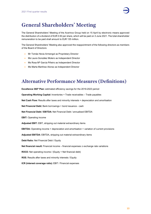

# **General Shareholders' Meeting**

The General Shareholders' Meeting of the Acerinox Group held on 15 April by electronic means approved the distribution of a dividend of EUR 0.50 per share, which will be paid on 3 June 2021. The total shareholder remuneration to be paid shall amount to EUR 135 million.

The General Shareholders' Meeting also approved the reappointment of the following directors as members of the Board of Directors:

- Mr Tomás Hevia Armengol as Proprietary Director
- Ms Laura González Molero as Independent Director
- Ms Rosa Mª García Piñeiro as Independent Director
- Ms Marta Martínez Alonso as Independent Director

## **Alternative Performance Measures (Definitions)**

**Excellence 360º Plan:** estimated efficiency savings for the 2019-2023 period **Operating Working Capital:** Inventories + Trade receivables – Trade payables **Net Cash Flow:** Results after taxes and minority interests + depreciation and amortisation **Net Financial Debt:** Bank borrowings + bond issuance - cash **Net Financial Debt / EBITDA:** Net Financial Debt / annualised EBITDA **EBIT:** Operating income **Adjusted EBIT:** EBIT, stripping out material extraordinary items **EBITDA:** Operating income + depreciation and amortisation + variation of current provisions **Adjusted EBITDA:** EBITDA, stripping out material extraordinary items **Debt Ratio:** Net Financial Debt / Equity **Net financial result:** Financial income – financial expenses ± exchange rate variations **ROCE:** Net operating income / (Equity + Net financial debt) **ROE:** Results after taxes and minority interests / Equity

**ICR (interest coverage ratio):** EBIT / Financial expenses